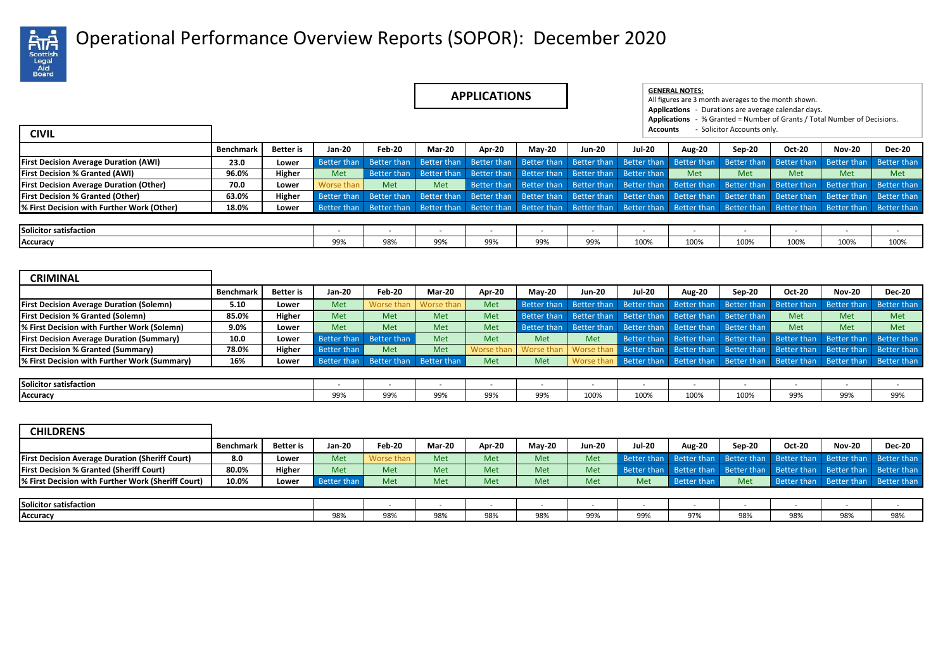

## Operational Performance Overview Reports (SOPOR): December 2020 .

| <b>APPLICATIONS</b> |  |
|---------------------|--|
|---------------------|--|

| <b>APPLICATIONS</b> | <b>GENERAL NOTES:</b><br>All figures are 3 month averages to the month shown. |                            |  |                                                                          |  |
|---------------------|-------------------------------------------------------------------------------|----------------------------|--|--------------------------------------------------------------------------|--|
|                     | <b>Applications</b> - Durations are average calendar days.<br>Accounts        | - Solicitor Accounts only. |  | Applications - % Granted = Number of Grants / Total Number of Decisions. |  |
|                     |                                                                               |                            |  |                                                                          |  |

| <b>CIVIL</b>                                          |           |                  |               |                         |            |                                                                                                                         |               |               | Accounts      |               | - Solicitor Accounts only. |               |               |               |
|-------------------------------------------------------|-----------|------------------|---------------|-------------------------|------------|-------------------------------------------------------------------------------------------------------------------------|---------------|---------------|---------------|---------------|----------------------------|---------------|---------------|---------------|
|                                                       | Benchmark | <b>Better</b> is | <b>Jan-20</b> | Feb-20                  | Mar-20     | Apr-20                                                                                                                  | <b>Mav-20</b> | <b>Jun-20</b> | <b>Jul-20</b> | <b>Aug-20</b> | Sep-20                     | <b>Oct-20</b> | <b>Nov-20</b> | <b>Dec-20</b> |
| <b>First Decision Average Duration (AWI)</b>          | 23.0      | Lower            | Better than   | Better than             |            | Better than Better than Better than Better than Better than                                                             |               |               |               | Better than   | Better than                | Better than   | Better than   | Better than   |
| <b>First Decision % Granted (AWI)</b>                 | 96.0%     | Higher           | Met           | Better than             |            | Better than Better than Better than Better than Better than                                                             |               |               |               | Met           | Met                        | Met           | <b>Met</b>    | Met           |
| <b>First Decision Average Duration (Other)</b>        | 70.0      | Lower            | Worse than    | Met                     | <b>Met</b> | Better than Better than Better than Better than Better than Better than Better than Better than Better than             |               |               |               |               |                            |               |               |               |
| <b>First Decision % Granted (Other)</b>               | 63.0%     | Higher           | Better than   | Better than             |            | Better than Better than Better than Better than Better than Better than Better than Better than Better than Better than |               |               |               |               |                            |               |               |               |
| <sup>8</sup> First Decision with Further Work (Other) | 18.0%     | Lower            |               | Better than Better than |            | Better than Better than Better than Better than Better than Better than Better than Better than Better than Better than |               |               |               |               |                            |               |               |               |
|                                                       |           |                  |               |                         |            |                                                                                                                         |               |               |               |               |                            |               |               |               |
| Solicitor satisfaction                                |           |                  |               |                         |            |                                                                                                                         |               |               |               |               |                            |               |               |               |
| Accuracy                                              |           |                  | 99%           | 98%                     | 99%        | 99%                                                                                                                     | 99%           | 99%           | 100%          | 100%          | 100%                       | 100%          | 100%          | 100%          |

| <b>CRIMINAL</b>                                  |                  |                  |             |                       |                                     |            |                                                             |             |                                     |        |                                     |                         |                         |                                                                         |
|--------------------------------------------------|------------------|------------------|-------------|-----------------------|-------------------------------------|------------|-------------------------------------------------------------|-------------|-------------------------------------|--------|-------------------------------------|-------------------------|-------------------------|-------------------------------------------------------------------------|
|                                                  | <b>Benchmark</b> | <b>Better</b> is | Jan-20      | Feb-20                | <b>Mar-20</b>                       | Apr-20     | <b>Mav-20</b>                                               | Jun-20      | <b>Jul-20</b>                       | Aug-20 | Sep-20                              | <b>Oct-20</b>           | <b>Nov-20</b>           | <b>Dec-20</b>                                                           |
| <b>First Decision Average Duration (Solemn)</b>  | 5.10             | Lower            | Met         | Worse than Worse than |                                     | <b>Met</b> | Better than                                                 | Better than |                                     |        | Better than Better than Better than | Better than             | Better than             | Better than                                                             |
| <b>First Decision % Granted (Solemn)</b>         | 85.0%            | Higher           | Met         | Met                   | Met                                 | <b>Met</b> | Better than Better than                                     |             | Better than Better than Better than |        |                                     | <b>Met</b>              | Met                     | Met                                                                     |
| % First Decision with Further Work (Solemn)      | 9.0%             | Lower            | Met         | Met                   | Met                                 | Met        | Better than Better than Better than Better than Better than |             |                                     |        |                                     | <b>Met</b>              | Met                     | Met                                                                     |
| <b>First Decision Average Duration (Summary)</b> | 10.0             | Lower            | Better than | Better than           | Met                                 | Met        | <b>Met</b>                                                  | <b>Met</b>  |                                     |        | Better than Better than Better than | Better than Better than |                         | Better than                                                             |
| <b>First Decision % Granted (Summary)</b>        | 78.0%            | Higher           | Better than | Met                   | Met                                 | Worse than | Worse than                                                  | Worse than  |                                     |        | Better than Better than Better than |                         | Better than Better than | Better than                                                             |
| % First Decision with Further Work (Summary)     | 16%              | Lower            |             |                       | Better than Better than Better than | Met        | <b>Met</b>                                                  | Worse than  |                                     |        |                                     |                         |                         | Better than Better than Better than Better than Better than Better than |
|                                                  |                  |                  |             |                       |                                     |            |                                                             |             |                                     |        |                                     |                         |                         |                                                                         |
| Solicitor satisfaction                           |                  |                  |             |                       |                                     |            |                                                             |             |                                     |        |                                     |                         |                         |                                                                         |

| <b>CHILDRENS</b>                                       |           |           |               |               |               |        |               |            |               |                                                                         |        |                         |               |               |
|--------------------------------------------------------|-----------|-----------|---------------|---------------|---------------|--------|---------------|------------|---------------|-------------------------------------------------------------------------|--------|-------------------------|---------------|---------------|
|                                                        | Benchmark | Better is | <b>Jan-20</b> | <b>Feb-20</b> | <b>Mar-20</b> | Apr-20 | <b>Mav-20</b> | Jun-20     | <b>Jul-20</b> | <b>Aug-20</b>                                                           | Sep-20 | <b>Oct-20</b>           | <b>Nov-20</b> | <b>Dec-20</b> |
| <b>First Decision Average Duration (Sheriff Court)</b> | 8.0       | Lower     | Met           | Worse than    | Met           | Met    | Met           | <b>Met</b> |               | Better than Better than Better than Better than Better than Better than |        |                         |               |               |
| <b>First Decision % Granted (Sheriff Court)</b>        | 80.0%     | Higher    | Met           | Met           | Met           | Met    | Met           | Met        |               | Better than Better than Better than Better than Better than Better than |        |                         |               |               |
| % First Decision with Further Work (Sheriff Court)     | 10.0%     | Lower     | Better than   | Met           | Met           | Met    | Met           | Met        | Met           | Better than                                                             | Met    | Better than Better than |               | Better than   |
|                                                        |           |           |               |               |               |        |               |            |               |                                                                         |        |                         |               |               |
| Solicitor satisfaction                                 |           |           |               |               |               |        |               |            |               |                                                                         |        |                         |               |               |
| Accuracy                                               |           |           | 98%           | 98%           | 98%           | 98%    | 98%           | 99%        | 99%           | 97%                                                                     | 98%    | 98%                     | 98%           | 98%           |

**Accuracy** 99% | 99% | 99% | 99% | 99% | 100% | 100% | 100% | 99% | 99% | 99% | 99%